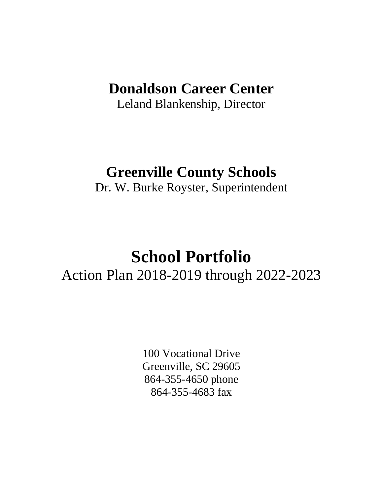# **Donaldson Career Center**

Leland Blankenship, Director

## **Greenville County Schools**

Dr. W. Burke Royster, Superintendent

# **School Portfolio** Action Plan 2018-2019 through 2022-2023

100 Vocational Drive Greenville, SC 29605 864-355-4650 phone 864-355-4683 fax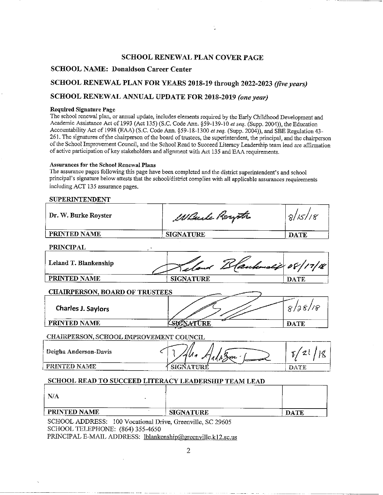#### **SCHOOL RENEWAL PLAN COVER PAGE**

#### **SCHOOL NAME: Donaldson Career Center**

#### SCHOOL RENEWAL PLAN FOR YEARS 2018-19 through 2022-2023 (five years)

#### SCHOOL RENEWAL ANNUAL UPDATE FOR 2018-2019 (one year)

#### Required Signature Page

The school renewal plan, or annual update, includes elements required by the Early Childhood Development and Academic Assistance Act of 1993 (Act 135) (S.C. Code Ann. §59-139-10 et seq. (Supp. 2004)), the Education Accountability Act of 1998 (EAA) (S.C. Code Ann. §59-18-1300 et seq. (Supp. 2004)), and SBE Regulation 43-261. The signatures of the chairperson of the board of trustees, the superintendent, the principal, and the chairperson of the School Improvement Council, and the School Read to Succeed Literacy Leadership team lead are affirmation of active participation of key stakeholders and alignment with Act 135 and EAA requirements.

#### Assurances for the School Renewal Plans

The assurance pages following this page have been completed and the district superintendent's and school principal's signature below attests that the school/district complies with all applicable assurances requirements including ACT 135 assurance pages.

#### **SUPERINTENDENT**

| Dr. W. Burke Royster                                       | Wheele Royth                                         | 8/15/18     |  |  |  |  |
|------------------------------------------------------------|------------------------------------------------------|-------------|--|--|--|--|
| PRINTED NAME                                               | <b>SIGNATURE</b>                                     | <b>DATE</b> |  |  |  |  |
| <b>PRINCIPAL</b>                                           |                                                      |             |  |  |  |  |
| Leland T. Blankenship                                      | Sand Blankmalif 08/17/18                             |             |  |  |  |  |
| PRINTED NAME                                               | <b>SIGNATURE</b>                                     | <b>DATE</b> |  |  |  |  |
| <b>CHAIRPERSON, BOARD OF TRUSTEES</b>                      |                                                      |             |  |  |  |  |
| Charles J. Saylors                                         |                                                      | 8/28/18     |  |  |  |  |
| PRINTED NAME                                               | SIGNATURE                                            | <b>DATE</b> |  |  |  |  |
| CHAIRPERSON, SCHOOL IMPROVEMENT COUNCIL                    |                                                      |             |  |  |  |  |
| Deigha Anderson-Davis                                      |                                                      | 2(          |  |  |  |  |
| PRINTED NAME                                               | SIGNATURE                                            | DATE        |  |  |  |  |
|                                                            | SCHOOL READ TO SUCCEED LITERACY LEADERSHIP TEAM LEAD |             |  |  |  |  |
| N/A                                                        |                                                      |             |  |  |  |  |
| PRINTED NAME                                               | <b>SIGNATURE</b>                                     | <b>DATE</b> |  |  |  |  |
| SCHOOL ADDRESS: 100 Vocational Drive, Greenville, SC 29605 |                                                      |             |  |  |  |  |

SCHOOL TELEPHONE: (864) 355-4650 PRINCIPAL E-MAIL ADDRESS: lblankenship@greenville.k12.sc.us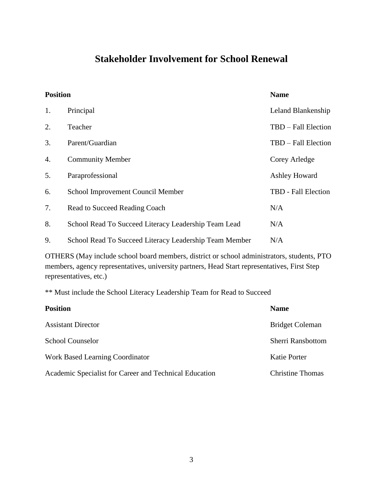### **Stakeholder Involvement for School Renewal**

| <b>Position</b> |                                                        | <b>Name</b>          |
|-----------------|--------------------------------------------------------|----------------------|
| 1.              | Principal                                              | Leland Blankenship   |
| 2.              | Teacher                                                | TBD - Fall Election  |
| 3.              | Parent/Guardian                                        | TBD – Fall Election  |
| 4.              | <b>Community Member</b>                                | Corey Arledge        |
| 5.              | Paraprofessional                                       | <b>Ashley Howard</b> |
| 6.              | School Improvement Council Member                      | TBD - Fall Election  |
| 7.              | Read to Succeed Reading Coach                          | N/A                  |
| 8.              | School Read To Succeed Literacy Leadership Team Lead   | N/A                  |
| 9.              | School Read To Succeed Literacy Leadership Team Member | N/A                  |

OTHERS (May include school board members, district or school administrators, students, PTO members, agency representatives, university partners, Head Start representatives, First Step representatives, etc.)

\*\* Must include the School Literacy Leadership Team for Read to Succeed

| <b>Position</b>                                        | <b>Name</b>              |
|--------------------------------------------------------|--------------------------|
| <b>Assistant Director</b>                              | <b>Bridget Coleman</b>   |
| <b>School Counselor</b>                                | <b>Sherri Ransbottom</b> |
| <b>Work Based Learning Coordinator</b>                 | Katie Porter             |
| Academic Specialist for Career and Technical Education | <b>Christine Thomas</b>  |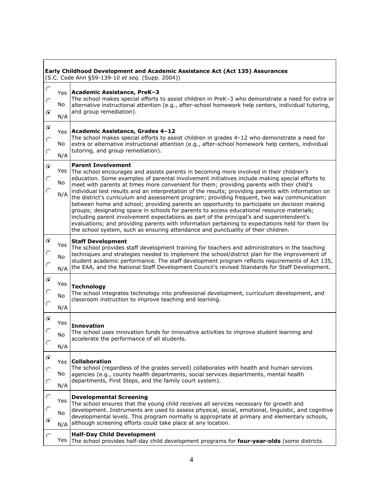| O              |           |                                                                                                                                                                                                                                                                                                                                                                                                                                                                                                                                                                                                                                                                                      |
|----------------|-----------|--------------------------------------------------------------------------------------------------------------------------------------------------------------------------------------------------------------------------------------------------------------------------------------------------------------------------------------------------------------------------------------------------------------------------------------------------------------------------------------------------------------------------------------------------------------------------------------------------------------------------------------------------------------------------------------|
|                | Yes       | Academic Assistance, PreK-3<br>The school makes special efforts to assist children in PreK-3 who demonstrate a need for extra or                                                                                                                                                                                                                                                                                                                                                                                                                                                                                                                                                     |
| ☞              | No        | alternative instructional attention (e.g., after-school homework help centers, individual tutoring,<br>and group remediation).                                                                                                                                                                                                                                                                                                                                                                                                                                                                                                                                                       |
| ۵              | N/A       |                                                                                                                                                                                                                                                                                                                                                                                                                                                                                                                                                                                                                                                                                      |
|                | Yes       | Academic Assistance, Grades 4-12<br>The school makes special efforts to assist children in grades 4-12 who demonstrate a need for                                                                                                                                                                                                                                                                                                                                                                                                                                                                                                                                                    |
| О              | No<br>N/A | extra or alternative instructional attention (e.g., after-school homework help centers, individual<br>tutoring, and group remediation).                                                                                                                                                                                                                                                                                                                                                                                                                                                                                                                                              |
| $\overline{G}$ | Yes       | <b>Parent Involvement</b><br>The school encourages and assists parents in becoming more involved in their children's                                                                                                                                                                                                                                                                                                                                                                                                                                                                                                                                                                 |
|                | No        | education. Some examples of parental involvement initiatives include making special efforts to<br>meet with parents at times more convenient for them; providing parents with their child's                                                                                                                                                                                                                                                                                                                                                                                                                                                                                          |
|                | N/A       | individual test results and an interpretation of the results; providing parents with information on<br>the district's curriculum and assessment program; providing frequent, two way communication<br>between home and school; providing parents an opportunity to participate on decision making<br>groups; designating space in schools for parents to access educational resource materials;<br>including parent involvement expectations as part of the principal's and superintendent's<br>evaluations; and providing parents with information pertaining to expectations held for them by<br>the school system, such as ensuring attendance and punctuality of their children. |
| ⊙              | Yes       | <b>Staff Development</b>                                                                                                                                                                                                                                                                                                                                                                                                                                                                                                                                                                                                                                                             |
| с              | No<br>N/A | The school provides staff development training for teachers and administrators in the teaching<br>techniques and strategies needed to implement the school/district plan for the improvement of<br>student academic performance. The staff development program reflects requirements of Act 135,<br>the EAA, and the National Staff Development Council's revised Standards for Staff Development.                                                                                                                                                                                                                                                                                   |
| $\overline{G}$ | Yes       |                                                                                                                                                                                                                                                                                                                                                                                                                                                                                                                                                                                                                                                                                      |
|                | No        | <b>Technology</b><br>The school integrates technology into professional development, curriculum development, and<br>classroom instruction to improve teaching and learning.                                                                                                                                                                                                                                                                                                                                                                                                                                                                                                          |
|                | N/A       |                                                                                                                                                                                                                                                                                                                                                                                                                                                                                                                                                                                                                                                                                      |
| G              | Yes       | <b>Innovation</b>                                                                                                                                                                                                                                                                                                                                                                                                                                                                                                                                                                                                                                                                    |
|                | No        | The school uses innovation funds for innovative activities to improve student learning and<br>accelerate the performance of all students.                                                                                                                                                                                                                                                                                                                                                                                                                                                                                                                                            |
| O              | N/A       |                                                                                                                                                                                                                                                                                                                                                                                                                                                                                                                                                                                                                                                                                      |
| G              | Yes       | <b>Collaboration</b>                                                                                                                                                                                                                                                                                                                                                                                                                                                                                                                                                                                                                                                                 |
|                | No        | The school (regardless of the grades served) collaborates with health and human services<br>agencies (e.g., county health departments, social services departments, mental health                                                                                                                                                                                                                                                                                                                                                                                                                                                                                                    |
|                | N/A       | departments, First Steps, and the family court system).                                                                                                                                                                                                                                                                                                                                                                                                                                                                                                                                                                                                                              |
| O              | Yes       | <b>Developmental Screening</b>                                                                                                                                                                                                                                                                                                                                                                                                                                                                                                                                                                                                                                                       |
|                | No        | The school ensures that the young child receives all services necessary for growth and<br>development. Instruments are used to assess physical, social, emotional, linguistic, and cognitive                                                                                                                                                                                                                                                                                                                                                                                                                                                                                         |
|                | N/A       | developmental levels. This program normally is appropriate at primary and elementary schools,<br>although screening efforts could take place at any location.                                                                                                                                                                                                                                                                                                                                                                                                                                                                                                                        |
|                |           | <b>Half-Day Child Development</b>                                                                                                                                                                                                                                                                                                                                                                                                                                                                                                                                                                                                                                                    |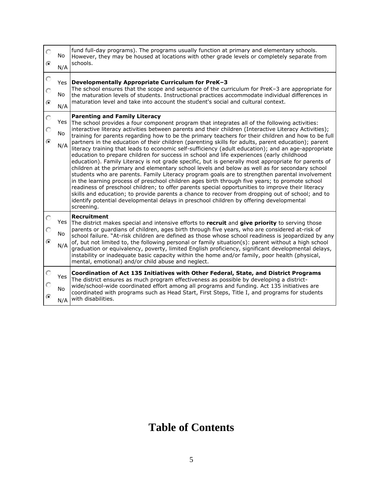| O<br>⊙               | No<br>N/A               | fund full-day programs). The programs usually function at primary and elementary schools.<br>However, they may be housed at locations with other grade levels or completely separate from<br>schools.                                                                                                                                                                                                                                                                                                                                                                                                                                                                                                                                                                                                                                                                                                                                                                                                                                                                                                                                                                                                                                                                                                                                                                                           |
|----------------------|-------------------------|-------------------------------------------------------------------------------------------------------------------------------------------------------------------------------------------------------------------------------------------------------------------------------------------------------------------------------------------------------------------------------------------------------------------------------------------------------------------------------------------------------------------------------------------------------------------------------------------------------------------------------------------------------------------------------------------------------------------------------------------------------------------------------------------------------------------------------------------------------------------------------------------------------------------------------------------------------------------------------------------------------------------------------------------------------------------------------------------------------------------------------------------------------------------------------------------------------------------------------------------------------------------------------------------------------------------------------------------------------------------------------------------------|
| O<br>O<br>$\epsilon$ | <b>Yes</b><br>No<br>N/A | Developmentally Appropriate Curriculum for PreK-3<br>The school ensures that the scope and sequence of the curriculum for PreK-3 are appropriate for<br>the maturation levels of students. Instructional practices accommodate individual differences in<br>maturation level and take into account the student's social and cultural context.                                                                                                                                                                                                                                                                                                                                                                                                                                                                                                                                                                                                                                                                                                                                                                                                                                                                                                                                                                                                                                                   |
| O<br>O<br>G          | Yes<br>No<br>N/A        | <b>Parenting and Family Literacy</b><br>The school provides a four component program that integrates all of the following activities:<br>interactive literacy activities between parents and their children (Interactive Literacy Activities);<br>training for parents regarding how to be the primary teachers for their children and how to be full<br>partners in the education of their children (parenting skills for adults, parent education); parent<br>literacy training that leads to economic self-sufficiency (adult education); and an age-appropriate<br>education to prepare children for success in school and life experiences (early childhood<br>education). Family Literacy is not grade specific, but is generally most appropriate for parents of<br>children at the primary and elementary school levels and below as well as for secondary school<br>students who are parents. Family Literacy program goals are to strengthen parental involvement<br>in the learning process of preschool children ages birth through five years; to promote school<br>readiness of preschool children; to offer parents special opportunities to improve their literacy<br>skills and education; to provide parents a chance to recover from dropping out of school; and to<br>identify potential developmental delays in preschool children by offering developmental<br>screening. |
| G                    | Yes<br>No<br>N/A        | <b>Recruitment</b><br>The district makes special and intensive efforts to recruit and give priority to serving those<br>parents or guardians of children, ages birth through five years, who are considered at-risk of<br>school failure. "At-risk children are defined as those whose school readiness is jeopardized by any<br>of, but not limited to, the following personal or family situation(s): parent without a high school<br>graduation or equivalency, poverty, limited English proficiency, significant developmental delays,<br>instability or inadequate basic capacity within the home and/or family, poor health (physical,<br>mental, emotional) and/or child abuse and neglect.                                                                                                                                                                                                                                                                                                                                                                                                                                                                                                                                                                                                                                                                                              |
| $\epsilon$           | Yes<br><b>No</b><br>N/A | Coordination of Act 135 Initiatives with Other Federal, State, and District Programs<br>The district ensures as much program effectiveness as possible by developing a district-<br>wide/school-wide coordinated effort among all programs and funding. Act 135 initiatives are<br>coordinated with programs such as Head Start, First Steps, Title I, and programs for students<br>with disabilities.                                                                                                                                                                                                                                                                                                                                                                                                                                                                                                                                                                                                                                                                                                                                                                                                                                                                                                                                                                                          |

## **Table of Contents**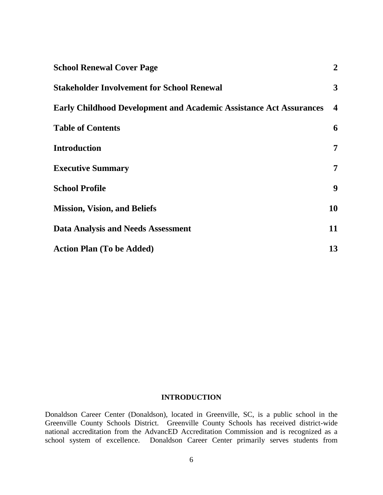| <b>School Renewal Cover Page</b>                                          | $\overline{2}$          |
|---------------------------------------------------------------------------|-------------------------|
| <b>Stakeholder Involvement for School Renewal</b>                         | 3                       |
| <b>Early Childhood Development and Academic Assistance Act Assurances</b> | $\overline{\mathbf{4}}$ |
| <b>Table of Contents</b>                                                  | 6                       |
| <b>Introduction</b>                                                       | 7                       |
| <b>Executive Summary</b>                                                  | 7                       |
| <b>School Profile</b>                                                     | 9                       |
| <b>Mission, Vision, and Beliefs</b>                                       | 10                      |
| <b>Data Analysis and Needs Assessment</b>                                 | 11                      |
| <b>Action Plan (To be Added)</b>                                          | 13                      |

#### **INTRODUCTION**

Donaldson Career Center (Donaldson), located in Greenville, SC, is a public school in the Greenville County Schools District. Greenville County Schools has received district-wide national accreditation from the AdvancED Accreditation Commission and is recognized as a school system of excellence. Donaldson Career Center primarily serves students from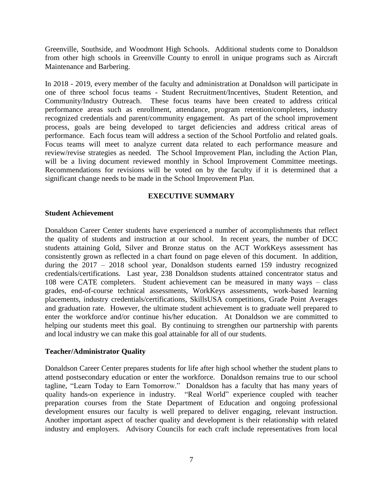Greenville, Southside, and Woodmont High Schools. Additional students come to Donaldson from other high schools in Greenville County to enroll in unique programs such as Aircraft Maintenance and Barbering.

In 2018 - 2019, every member of the faculty and administration at Donaldson will participate in one of three school focus teams - Student Recruitment/Incentives, Student Retention, and Community/Industry Outreach. These focus teams have been created to address critical performance areas such as enrollment, attendance, program retention/completers, industry recognized credentials and parent/community engagement. As part of the school improvement process, goals are being developed to target deficiencies and address critical areas of performance. Each focus team will address a section of the School Portfolio and related goals. Focus teams will meet to analyze current data related to each performance measure and review/revise strategies as needed. The School Improvement Plan, including the Action Plan, will be a living document reviewed monthly in School Improvement Committee meetings. Recommendations for revisions will be voted on by the faculty if it is determined that a significant change needs to be made in the School Improvement Plan.

#### **EXECUTIVE SUMMARY**

#### **Student Achievement**

Donaldson Career Center students have experienced a number of accomplishments that reflect the quality of students and instruction at our school. In recent years, the number of DCC students attaining Gold, Silver and Bronze status on the ACT WorkKeys assessment has consistently grown as reflected in a chart found on page eleven of this document. In addition, during the 2017 – 2018 school year, Donaldson students earned 159 industry recognized credentials/certifications. Last year, 238 Donaldson students attained concentrator status and 108 were CATE completers. Student achievement can be measured in many ways – class grades, end-of-course technical assessments, WorkKeys assessments, work-based learning placements, industry credentials/certifications, SkillsUSA competitions, Grade Point Averages and graduation rate. However, the ultimate student achievement is to graduate well prepared to enter the workforce and/or continue his/her education. At Donaldson we are committed to helping our students meet this goal. By continuing to strengthen our partnership with parents and local industry we can make this goal attainable for all of our students.

#### **Teacher/Administrator Quality**

Donaldson Career Center prepares students for life after high school whether the student plans to attend postsecondary education or enter the workforce. Donaldson remains true to our school tagline, "Learn Today to Earn Tomorrow." Donaldson has a faculty that has many years of quality hands-on experience in industry. "Real World" experience coupled with teacher preparation courses from the State Department of Education and ongoing professional development ensures our faculty is well prepared to deliver engaging, relevant instruction. Another important aspect of teacher quality and development is their relationship with related industry and employers. Advisory Councils for each craft include representatives from local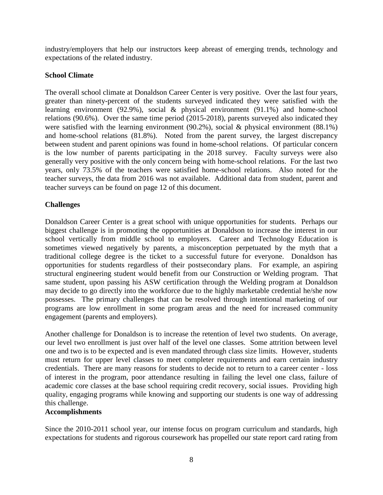industry/employers that help our instructors keep abreast of emerging trends, technology and expectations of the related industry.

#### **School Climate**

The overall school climate at Donaldson Career Center is very positive. Over the last four years, greater than ninety-percent of the students surveyed indicated they were satisfied with the learning environment (92.9%), social & physical environment (91.1%) and home-school relations (90.6%). Over the same time period (2015-2018), parents surveyed also indicated they were satisfied with the learning environment (90.2%), social & physical environment (88.1%) and home-school relations (81.8%). Noted from the parent survey, the largest discrepancy between student and parent opinions was found in home-school relations. Of particular concern is the low number of parents participating in the 2018 survey. Faculty surveys were also generally very positive with the only concern being with home-school relations. For the last two years, only 73.5% of the teachers were satisfied home-school relations. Also noted for the teacher surveys, the data from 2016 was not available. Additional data from student, parent and teacher surveys can be found on page 12 of this document.

#### **Challenges**

Donaldson Career Center is a great school with unique opportunities for students. Perhaps our biggest challenge is in promoting the opportunities at Donaldson to increase the interest in our school vertically from middle school to employers. Career and Technology Education is sometimes viewed negatively by parents, a misconception perpetuated by the myth that a traditional college degree is the ticket to a successful future for everyone. Donaldson has opportunities for students regardless of their postsecondary plans. For example, an aspiring structural engineering student would benefit from our Construction or Welding program. That same student, upon passing his ASW certification through the Welding program at Donaldson may decide to go directly into the workforce due to the highly marketable credential he/she now possesses. The primary challenges that can be resolved through intentional marketing of our programs are low enrollment in some program areas and the need for increased community engagement (parents and employers).

Another challenge for Donaldson is to increase the retention of level two students. On average, our level two enrollment is just over half of the level one classes. Some attrition between level one and two is to be expected and is even mandated through class size limits. However, students must return for upper level classes to meet completer requirements and earn certain industry credentials. There are many reasons for students to decide not to return to a career center - loss of interest in the program, poor attendance resulting in failing the level one class, failure of academic core classes at the base school requiring credit recovery, social issues. Providing high quality, engaging programs while knowing and supporting our students is one way of addressing this challenge.

#### **Accomplishments**

Since the 2010-2011 school year, our intense focus on program curriculum and standards, high expectations for students and rigorous coursework has propelled our state report card rating from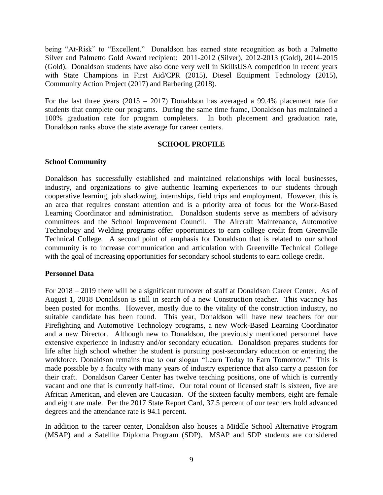being "At-Risk" to "Excellent." Donaldson has earned state recognition as both a Palmetto Silver and Palmetto Gold Award recipient: 2011-2012 (Silver), 2012-2013 (Gold), 2014-2015 (Gold). Donaldson students have also done very well in SkillsUSA competition in recent years with State Champions in First Aid/CPR (2015), Diesel Equipment Technology (2015), Community Action Project (2017) and Barbering (2018).

For the last three years (2015 – 2017) Donaldson has averaged a 99.4% placement rate for students that complete our programs. During the same time frame, Donaldson has maintained a 100% graduation rate for program completers. In both placement and graduation rate, Donaldson ranks above the state average for career centers.

#### **SCHOOL PROFILE**

#### **School Community**

Donaldson has successfully established and maintained relationships with local businesses, industry, and organizations to give authentic learning experiences to our students through cooperative learning, job shadowing, internships, field trips and employment. However, this is an area that requires constant attention and is a priority area of focus for the Work-Based Learning Coordinator and administration. Donaldson students serve as members of advisory committees and the School Improvement Council. The Aircraft Maintenance, Automotive Technology and Welding programs offer opportunities to earn college credit from Greenville Technical College. A second point of emphasis for Donaldson that is related to our school community is to increase communication and articulation with Greenville Technical College with the goal of increasing opportunities for secondary school students to earn college credit.

#### **Personnel Data**

For 2018 – 2019 there will be a significant turnover of staff at Donaldson Career Center. As of August 1, 2018 Donaldson is still in search of a new Construction teacher. This vacancy has been posted for months. However, mostly due to the vitality of the construction industry, no suitable candidate has been found. This year, Donaldson will have new teachers for our Firefighting and Automotive Technology programs, a new Work-Based Learning Coordinator and a new Director. Although new to Donaldson, the previously mentioned personnel have extensive experience in industry and/or secondary education. Donaldson prepares students for life after high school whether the student is pursuing post-secondary education or entering the workforce. Donaldson remains true to our slogan "Learn Today to Earn Tomorrow." This is made possible by a faculty with many years of industry experience that also carry a passion for their craft. Donaldson Career Center has twelve teaching positions, one of which is currently vacant and one that is currently half-time. Our total count of licensed staff is sixteen, five are African American, and eleven are Caucasian. Of the sixteen faculty members, eight are female and eight are male. Per the 2017 State Report Card, 37.5 percent of our teachers hold advanced degrees and the attendance rate is 94.1 percent.

In addition to the career center, Donaldson also houses a Middle School Alternative Program (MSAP) and a Satellite Diploma Program (SDP). MSAP and SDP students are considered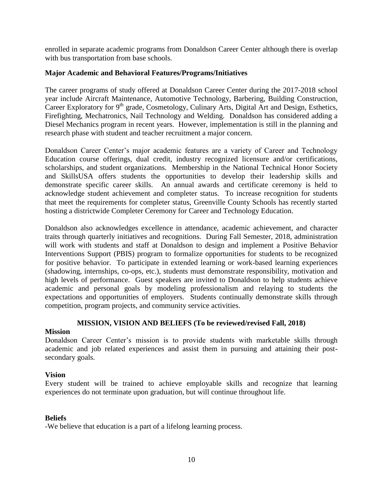enrolled in separate academic programs from Donaldson Career Center although there is overlap with bus transportation from base schools.

#### **Major Academic and Behavioral Features/Programs/Initiatives**

The career programs of study offered at Donaldson Career Center during the 2017-2018 school year include Aircraft Maintenance, Automotive Technology, Barbering, Building Construction, Career Exploratory for 9<sup>th</sup> grade, Cosmetology, Culinary Arts, Digital Art and Design, Esthetics, Firefighting, Mechatronics, Nail Technology and Welding. Donaldson has considered adding a Diesel Mechanics program in recent years. However, implementation is still in the planning and research phase with student and teacher recruitment a major concern.

Donaldson Career Center's major academic features are a variety of Career and Technology Education course offerings, dual credit, industry recognized licensure and/or certifications, scholarships, and student organizations. Membership in the National Technical Honor Society and SkillsUSA offers students the opportunities to develop their leadership skills and demonstrate specific career skills. An annual awards and certificate ceremony is held to acknowledge student achievement and completer status. To increase recognition for students that meet the requirements for completer status, Greenville County Schools has recently started hosting a districtwide Completer Ceremony for Career and Technology Education.

Donaldson also acknowledges excellence in attendance, academic achievement, and character traits through quarterly initiatives and recognitions. During Fall Semester, 2018, administration will work with students and staff at Donaldson to design and implement a Positive Behavior Interventions Support (PBIS) program to formalize opportunities for students to be recognized for positive behavior. To participate in extended learning or work-based learning experiences (shadowing, internships, co-ops, etc.), students must demonstrate responsibility, motivation and high levels of performance. Guest speakers are invited to Donaldson to help students achieve academic and personal goals by modeling professionalism and relaying to students the expectations and opportunities of employers. Students continually demonstrate skills through competition, program projects, and community service activities.

#### **MISSION, VISION AND BELIEFS (To be reviewed/revised Fall, 2018)**

#### **Mission**

Donaldson Career Center's mission is to provide students with marketable skills through academic and job related experiences and assist them in pursuing and attaining their postsecondary goals.

#### **Vision**

Every student will be trained to achieve employable skills and recognize that learning experiences do not terminate upon graduation, but will continue throughout life.

#### **Beliefs**

-We believe that education is a part of a lifelong learning process.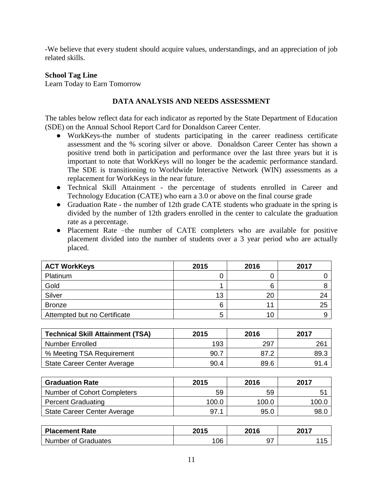-We believe that every student should acquire values, understandings, and an appreciation of job related skills.

#### **School Tag Line**

Learn Today to Earn Tomorrow

#### **DATA ANALYSIS AND NEEDS ASSESSMENT**

The tables below reflect data for each indicator as reported by the State Department of Education (SDE) on the Annual School Report Card for Donaldson Career Center.

- WorkKeys-the number of students participating in the career readiness certificate assessment and the % scoring silver or above. Donaldson Career Center has shown a positive trend both in participation and performance over the last three years but it is important to note that WorkKeys will no longer be the academic performance standard. The SDE is transitioning to Worldwide Interactive Network (WIN) assessments as a replacement for WorkKeys in the near future.
- Technical Skill Attainment the percentage of students enrolled in Career and Technology Education (CATE) who earn a 3.0 or above on the final course grade
- Graduation Rate the number of 12th grade CATE students who graduate in the spring is divided by the number of 12th graders enrolled in the center to calculate the graduation rate as a percentage.
- Placement Rate –the number of CATE completers who are available for positive placement divided into the number of students over a 3 year period who are actually placed.

| <b>ACT WorkKeys</b>          | 2015 | 2016 | 2017 |
|------------------------------|------|------|------|
| Platinum                     | 0    |      |      |
| Gold                         |      |      |      |
| Silver                       | 13   | 20   | 24   |
| <b>Bronze</b>                | 6    | 11   | 25   |
| Attempted but no Certificate | 5    | 10   |      |

| <b>Technical Skill Attainment (TSA)</b> | 2015 | 2016 |      |
|-----------------------------------------|------|------|------|
| <b>Number Enrolled</b>                  | 193  | 297  | 261  |
| % Meeting TSA Requirement               | 90.7 | 87.2 | 89.3 |
| State Career Center Average             | 90.4 | 89.6 | 91.4 |

| <b>Graduation Rate</b>      | 2015  | 2016  | 2017        |  |
|-----------------------------|-------|-------|-------------|--|
| Number of Cohort Completers | 59    | 59    | $5^{\circ}$ |  |
| <b>Percent Graduating</b>   | 100.0 | 100.0 | 100.C       |  |
| State Career Center Average | 97.1  | 95.0  | 98.C        |  |

| <b>Placement Rate</b>      | 2015 | 2016 | 2017 |  |
|----------------------------|------|------|------|--|
| <b>Number of Graduates</b> | 106  | ິ    |      |  |